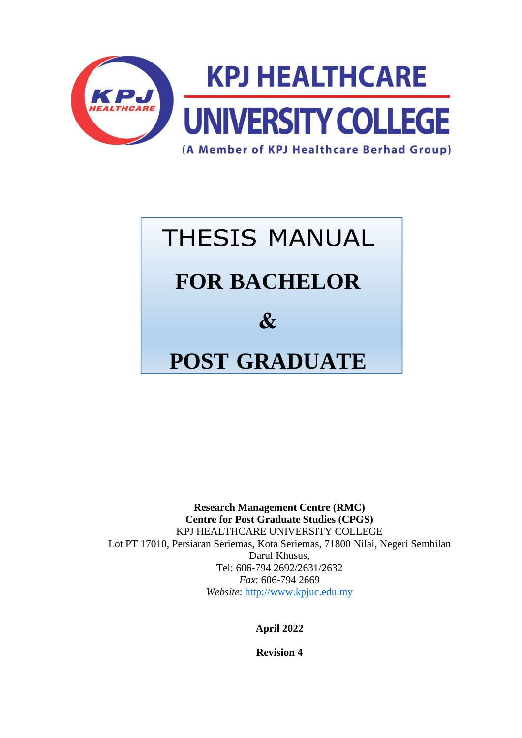

# **THESIS MANUAL FOR BACHELOR**  $\mathcal{R}_{I}$ **POST GRADUATE**

**Research Management Centre (RMC) Centre for Post Graduate Studies (CPGS)**  KPJ HEALTHCARE UNIVERSITY COLLEGE Lot PT 17010, Persiaran Seriemas, Kota Seriemas, 71800 Nilai, Negeri Sembilan Darul Khusus, Tel: 606-794 2692/2631/2632 *Fax*: 606-794 2669 *Website*: [http://www.kpjuc.edu.my](http://www.kpjuc.edu.my/)

**April 2022**

**Revision 4**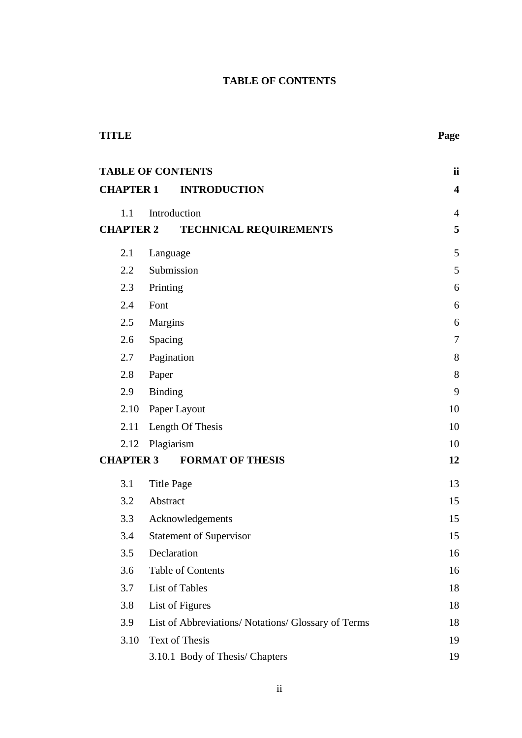# **TABLE OF CONTENTS**

<span id="page-1-0"></span>

| <b>TITLE</b>             |                   |                                                     | Page                    |
|--------------------------|-------------------|-----------------------------------------------------|-------------------------|
| <b>TABLE OF CONTENTS</b> |                   |                                                     | ii                      |
| <b>CHAPTER 1</b>         |                   | <b>INTRODUCTION</b>                                 | $\overline{\mathbf{4}}$ |
| 1.1                      |                   | Introduction                                        | $\overline{4}$          |
| <b>CHAPTER 2</b>         |                   | <b>TECHNICAL REQUIREMENTS</b>                       | 5                       |
| 2.1                      | Language          |                                                     | 5                       |
| 2.2                      |                   | Submission                                          | 5                       |
| 2.3                      | Printing          |                                                     | 6                       |
| 2.4                      | Font              |                                                     | 6                       |
| 2.5                      | Margins           |                                                     | 6                       |
| 2.6                      | Spacing           |                                                     | $\boldsymbol{7}$        |
| 2.7                      | Pagination        |                                                     | 8                       |
| 2.8                      | Paper             |                                                     | 8                       |
| 2.9                      | <b>Binding</b>    |                                                     | 9                       |
| 2.10                     | Paper Layout      |                                                     | 10                      |
| 2.11                     |                   | Length Of Thesis                                    | 10                      |
| 2.12                     | Plagiarism        |                                                     | 10                      |
| <b>CHAPTER 3</b>         |                   | <b>FORMAT OF THESIS</b>                             | 12                      |
| 3.1                      | <b>Title Page</b> |                                                     | 13                      |
| 3.2                      | Abstract          |                                                     | 15                      |
| 3.3                      |                   | Acknowledgements                                    | 15                      |
| 3.4                      |                   | <b>Statement of Supervisor</b>                      | 15                      |
| 3.5                      |                   | Declaration                                         | 16                      |
| 3.6                      |                   | <b>Table of Contents</b>                            | 16                      |
| 3.7                      |                   | List of Tables                                      | 18                      |
| 3.8                      |                   | List of Figures                                     | 18                      |
| 3.9                      |                   | List of Abbreviations/ Notations/ Glossary of Terms | 18                      |
| 3.10                     |                   | Text of Thesis                                      | 19                      |
|                          |                   | 3.10.1 Body of Thesis/ Chapters                     | 19                      |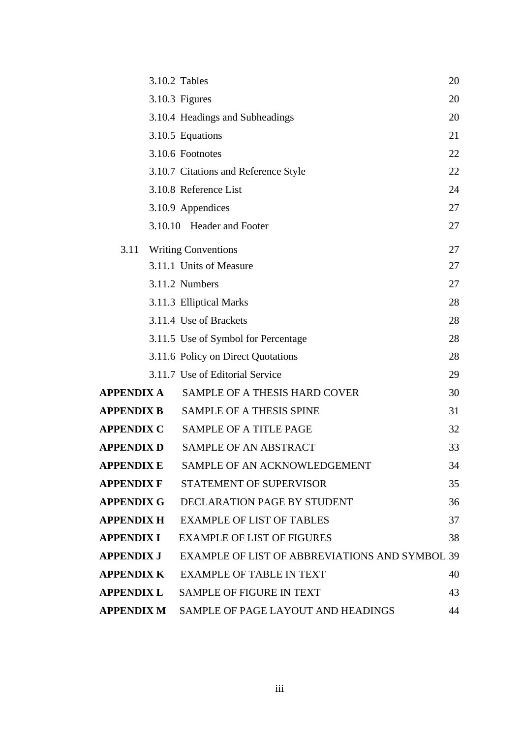|                   | 3.10.2 Tables                                  | 20 |
|-------------------|------------------------------------------------|----|
|                   | 3.10.3 Figures                                 | 20 |
|                   | 3.10.4 Headings and Subheadings                | 20 |
|                   | 3.10.5 Equations                               | 21 |
|                   | 3.10.6 Footnotes                               | 22 |
|                   | 3.10.7 Citations and Reference Style           | 22 |
|                   | 3.10.8 Reference List                          | 24 |
|                   | 3.10.9 Appendices                              | 27 |
|                   | 3.10.10 Header and Footer                      | 27 |
| 3.11              | <b>Writing Conventions</b>                     | 27 |
|                   | 3.11.1 Units of Measure                        | 27 |
|                   | 3.11.2 Numbers                                 | 27 |
|                   | 3.11.3 Elliptical Marks                        | 28 |
|                   | 3.11.4 Use of Brackets                         | 28 |
|                   | 3.11.5 Use of Symbol for Percentage            | 28 |
|                   | 3.11.6 Policy on Direct Quotations             | 28 |
|                   | 3.11.7 Use of Editorial Service                | 29 |
| APPENDIX A        | SAMPLE OF A THESIS HARD COVER                  | 30 |
| <b>APPENDIX B</b> | <b>SAMPLE OF A THESIS SPINE</b>                | 31 |
| <b>APPENDIX C</b> | SAMPLE OF A TITLE PAGE                         | 32 |
| <b>APPENDIX D</b> | SAMPLE OF AN ABSTRACT                          | 33 |
| APPENDIX E        | SAMPLE OF AN ACKNOWLEDGEMENT                   | 34 |
|                   | <b>APPENDIX F STATEMENT OF SUPERVISOR</b>      | 35 |
| APPENDIX G        | DECLARATION PAGE BY STUDENT                    | 36 |
|                   | <b>APPENDIX H EXAMPLE OF LIST OF TABLES</b>    | 37 |
| APPENDIX I        | <b>EXAMPLE OF LIST OF FIGURES</b>              | 38 |
| APPENDIX J        | EXAMPLE OF LIST OF ABBREVIATIONS AND SYMBOL 39 |    |
| <b>APPENDIX K</b> | <b>EXAMPLE OF TABLE IN TEXT</b>                | 40 |
| APPENDIX L        | <b>SAMPLE OF FIGURE IN TEXT</b>                | 43 |
| APPENDIX M        | SAMPLE OF PAGE LAYOUT AND HEADINGS             | 44 |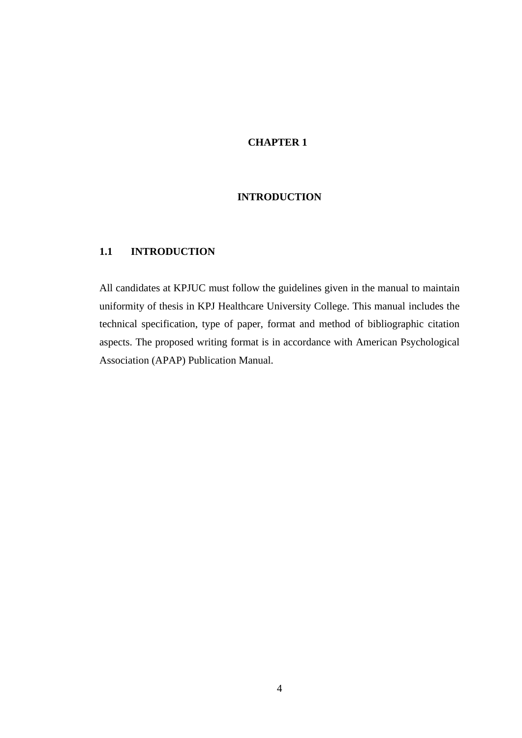# **CHAPTER 1**

# **INTRODUCTION**

## <span id="page-3-1"></span><span id="page-3-0"></span>**1.1 INTRODUCTION**

All candidates at KPJUC must follow the guidelines given in the manual to maintain uniformity of thesis in KPJ Healthcare University College. This manual includes the technical specification, type of paper, format and method of bibliographic citation aspects. The proposed writing format is in accordance with American Psychological Association (APAP) Publication Manual.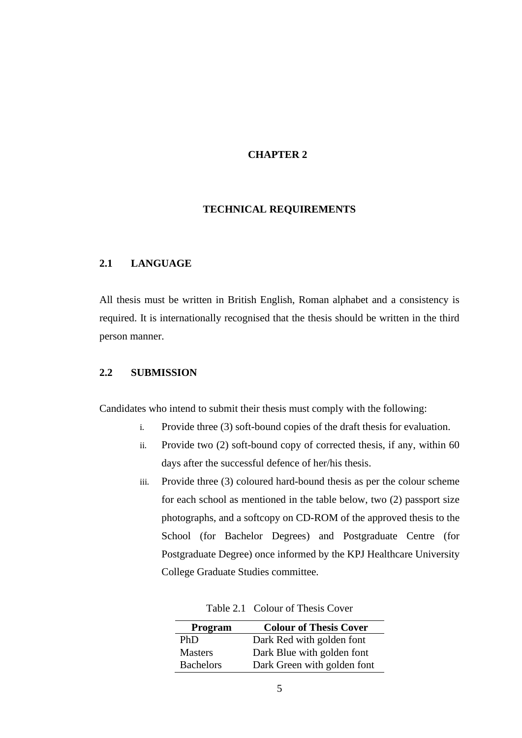#### **CHAPTER 2**

## **TECHNICAL REQUIREMENTS**

## <span id="page-4-1"></span><span id="page-4-0"></span>**2.1 LANGUAGE**

All thesis must be written in British English, Roman alphabet and a consistency is required. It is internationally recognised that the thesis should be written in the third person manner.

#### <span id="page-4-2"></span>**2.2 SUBMISSION**

Candidates who intend to submit their thesis must comply with the following:

- i. Provide three (3) soft-bound copies of the draft thesis for evaluation.
- ii. Provide two (2) soft-bound copy of corrected thesis, if any, within 60 days after the successful defence of her/his thesis.
- iii. Provide three (3) coloured hard-bound thesis as per the colour scheme for each school as mentioned in the table below, two (2) passport size photographs, and a softcopy on CD-ROM of the approved thesis to the School (for Bachelor Degrees) and Postgraduate Centre (for Postgraduate Degree) once informed by the KPJ Healthcare University College Graduate Studies committee.

| Program          | <b>Colour of Thesis Cover</b> |
|------------------|-------------------------------|
| PhD              | Dark Red with golden font     |
| <b>Masters</b>   | Dark Blue with golden font    |
| <b>Bachelors</b> | Dark Green with golden font   |

Table 2.1 Colour of Thesis Cover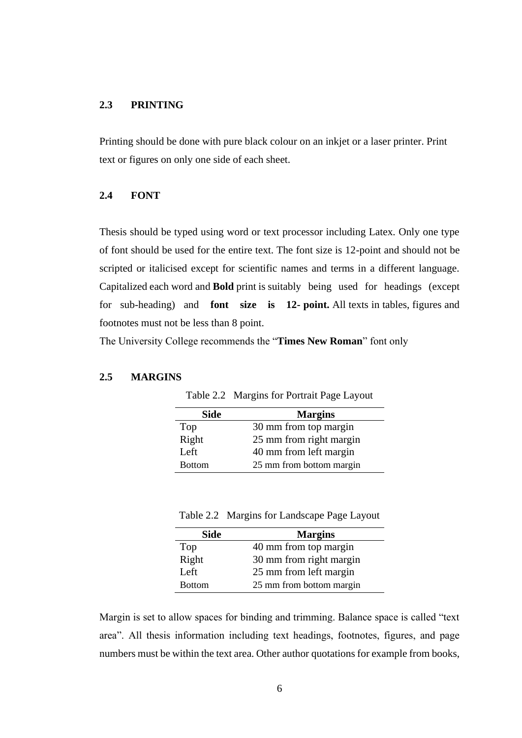## <span id="page-5-0"></span>**2.3 PRINTING**

Printing should be done with pure black colour on an inkjet or a laser printer. Print text or figures on only one side of each sheet.

#### <span id="page-5-1"></span>**2.4 FONT**

Thesis should be typed using word or text processor including Latex. Only one type of font should be used for the entire text. The font size is 12-point and should not be scripted or italicised except for scientific names and terms in a different language. Capitalized each word and **Bold** print is suitably being used for headings (except for sub-heading) and **font size is 12- point.** All texts in tables, figures and footnotes must not be less than 8 point.

The University College recommends the "**Times New Roman**" font only

#### <span id="page-5-2"></span>**2.5 MARGINS**

| <b>Side</b>   | <b>Margins</b>           |
|---------------|--------------------------|
| Top           | 30 mm from top margin    |
| Right         | 25 mm from right margin  |
| Left          | 40 mm from left margin   |
| <b>Bottom</b> | 25 mm from bottom margin |

Table 2.2 Margins for Portrait Page Layout

Table 2.2 Margins for Landscape Page Layout

| <b>Side</b>   | <b>Margins</b>           |
|---------------|--------------------------|
| Top           | 40 mm from top margin    |
| Right         | 30 mm from right margin  |
| Left          | 25 mm from left margin   |
| <b>Bottom</b> | 25 mm from bottom margin |

Margin is set to allow spaces for binding and trimming. Balance space is called "text area". All thesis information including text headings, footnotes, figures, and page numbers must be within the text area. Other author quotations for example from books,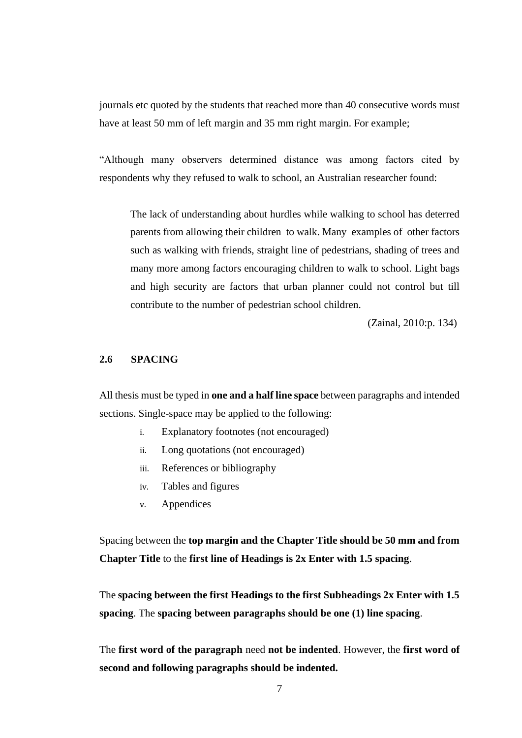journals etc quoted by the students that reached more than 40 consecutive words must have at least 50 mm of left margin and 35 mm right margin. For example;

"Although many observers determined distance was among factors cited by respondents why they refused to walk to school, an Australian researcher found:

The lack of understanding about hurdles while walking to school has deterred parents from allowing their children to walk. Many examples of other factors such as walking with friends, straight line of pedestrians, shading of trees and many more among factors encouraging children to walk to school. Light bags and high security are factors that urban planner could not control but till contribute to the number of pedestrian school children.

(Zainal, 2010:p. 134)

## <span id="page-6-0"></span>**2.6 SPACING**

All thesis must be typed in **one and a half line space** between paragraphs and intended sections. Single-space may be applied to the following:

- i. Explanatory footnotes (not encouraged)
- ii. Long quotations (not encouraged)
- iii. References or bibliography
- iv. Tables and figures
- v. Appendices

Spacing between the **top margin and the Chapter Title should be 50 mm and from Chapter Title** to the **first line of Headings is 2x Enter with 1.5 spacing**.

The **spacing between the first Headings to the first Subheadings 2x Enter with 1.5 spacing**. The **spacing between paragraphs should be one (1) line spacing**.

The **first word of the paragraph** need **not be indented**. However, the **first word of second and following paragraphs should be indented.**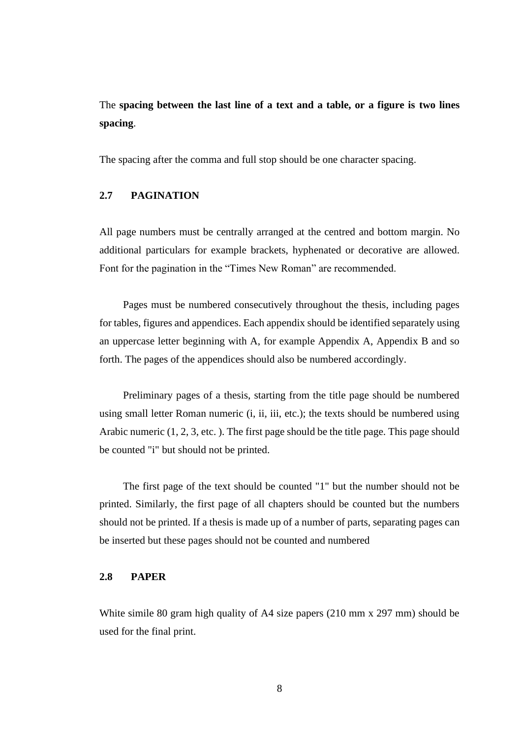# The **spacing between the last line of a text and a table, or a figure is two lines spacing**.

The spacing after the comma and full stop should be one character spacing.

#### <span id="page-7-0"></span>**2.7 PAGINATION**

All page numbers must be centrally arranged at the centred and bottom margin. No additional particulars for example brackets, hyphenated or decorative are allowed. Font for the pagination in the "Times New Roman" are recommended.

Pages must be numbered consecutively throughout the thesis, including pages for tables, figures and appendices. Each appendix should be identified separately using an uppercase letter beginning with A, for example Appendix A, Appendix B and so forth. The pages of the appendices should also be numbered accordingly.

Preliminary pages of a thesis, starting from the title page should be numbered using small letter Roman numeric (i, ii, iii, etc.); the texts should be numbered using Arabic numeric (1, 2, 3, etc. ). The first page should be the title page. This page should be counted "i" but should not be printed.

The first page of the text should be counted "1" but the number should not be printed. Similarly, the first page of all chapters should be counted but the numbers should not be printed. If a thesis is made up of a number of parts, separating pages can be inserted but these pages should not be counted and numbered

## <span id="page-7-1"></span>**2.8 PAPER**

White simile 80 gram high quality of A4 size papers (210 mm x 297 mm) should be used for the final print.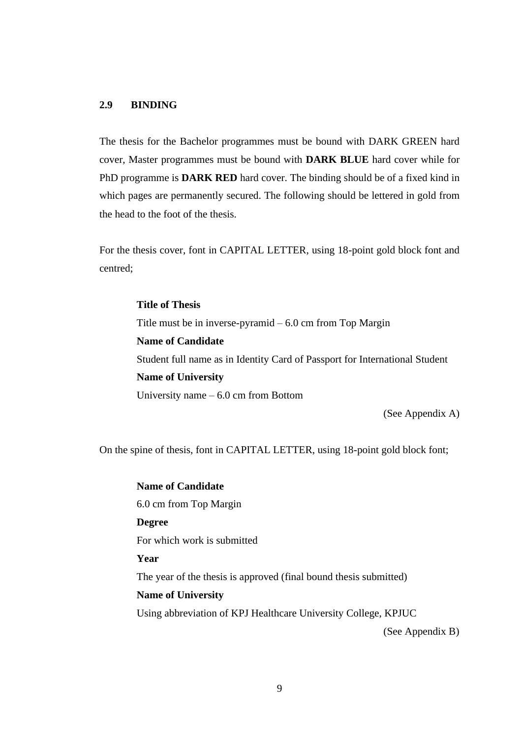# **2.9 BINDING**

The thesis for the Bachelor programmes must be bound with DARK GREEN hard cover, Master programmes must be bound with **DARK BLUE** hard cover while for PhD programme is **DARK RED** hard cover. The binding should be of a fixed kind in which pages are permanently secured. The following should be lettered in gold from the head to the foot of the thesis.

For the thesis cover, font in CAPITAL LETTER, using 18-point gold block font and centred;

> **Title of Thesis** Title must be in inverse-pyramid  $-6.0$  cm from Top Margin **Name of Candidate** Student full name as in Identity Card of Passport for International Student **Name of University** University name – 6.0 cm from Bottom

> > (See Appendix A)

On the spine of thesis, font in CAPITAL LETTER, using 18-point gold block font;

**Name of Candidate** 6.0 cm from Top Margin **Degree** For which work is submitted **Year** The year of the thesis is approved (final bound thesis submitted) **Name of University** Using abbreviation of KPJ Healthcare University College, KPJUC (See Appendix B)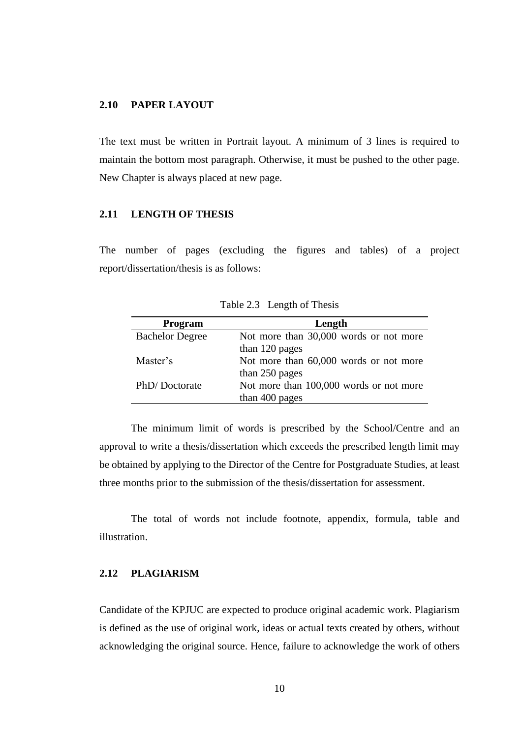## <span id="page-9-0"></span>**2.10 PAPER LAYOUT**

The text must be written in Portrait layout. A minimum of 3 lines is required to maintain the bottom most paragraph. Otherwise, it must be pushed to the other page. New Chapter is always placed at new page.

#### <span id="page-9-1"></span>**2.11 LENGTH OF THESIS**

The number of pages (excluding the figures and tables) of a project report/dissertation/thesis is as follows:

| Program                | Length                                  |
|------------------------|-----------------------------------------|
| <b>Bachelor Degree</b> | Not more than 30,000 words or not more  |
|                        | than 120 pages                          |
| Master's               | Not more than 60,000 words or not more  |
|                        | than 250 pages                          |
| PhD/Doctorate          | Not more than 100,000 words or not more |
|                        | than 400 pages                          |

Table 2.3 Length of Thesis

The minimum limit of words is prescribed by the School/Centre and an approval to write a thesis/dissertation which exceeds the prescribed length limit may be obtained by applying to the Director of the Centre for Postgraduate Studies, at least three months prior to the submission of the thesis/dissertation for assessment.

The total of words not include footnote, appendix, formula, table and illustration.

## <span id="page-9-2"></span>**2.12 PLAGIARISM**

Candidate of the KPJUC are expected to produce original academic work. Plagiarism is defined as the use of original work, ideas or actual texts created by others, without acknowledging the original source. Hence, failure to acknowledge the work of others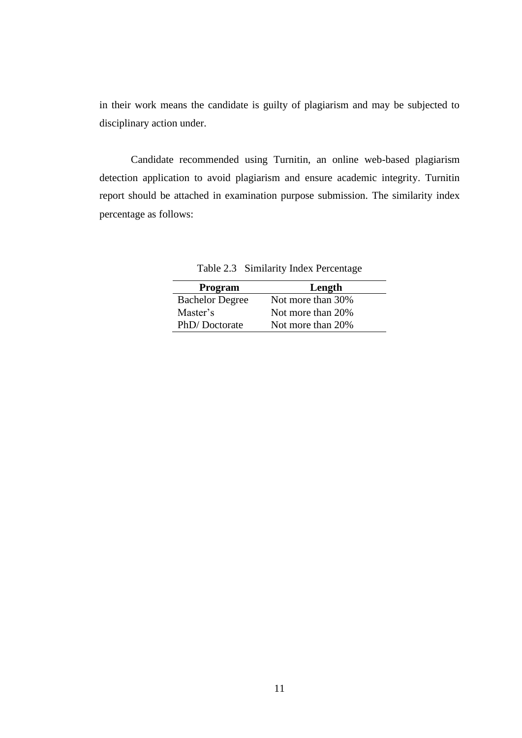in their work means the candidate is guilty of plagiarism and may be subjected to disciplinary action under.

Candidate recommended using Turnitin, an online web-based plagiarism detection application to avoid plagiarism and ensure academic integrity. Turnitin report should be attached in examination purpose submission. The similarity index percentage as follows:

Table 2.3 Similarity Index Percentage

| <b>Program</b>         | Length            |
|------------------------|-------------------|
| <b>Bachelor Degree</b> | Not more than 30% |
| Master's               | Not more than 20% |
| PhD/Doctorate          | Not more than 20% |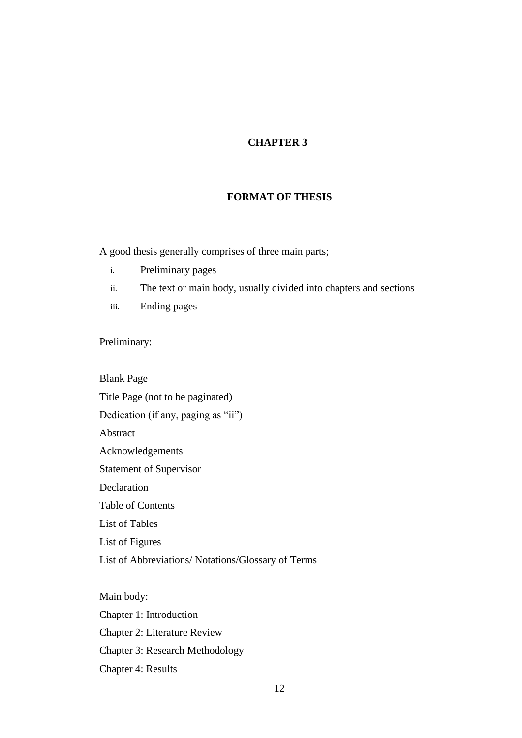# **CHAPTER 3**

#### **FORMAT OF THESIS**

<span id="page-11-0"></span>A good thesis generally comprises of three main parts;

- i. Preliminary pages
- ii. The text or main body, usually divided into chapters and sections
- iii. Ending pages

## Preliminary:

Blank Page Title Page (not to be paginated) Dedication (if any, paging as "ii") Abstract Acknowledgements Statement of Supervisor Declaration Table of Contents List of Tables List of Figures List of Abbreviations/ Notations/Glossary of Terms

Main body: Chapter 1: Introduction Chapter 2: Literature Review Chapter 3: Research Methodology Chapter 4: Results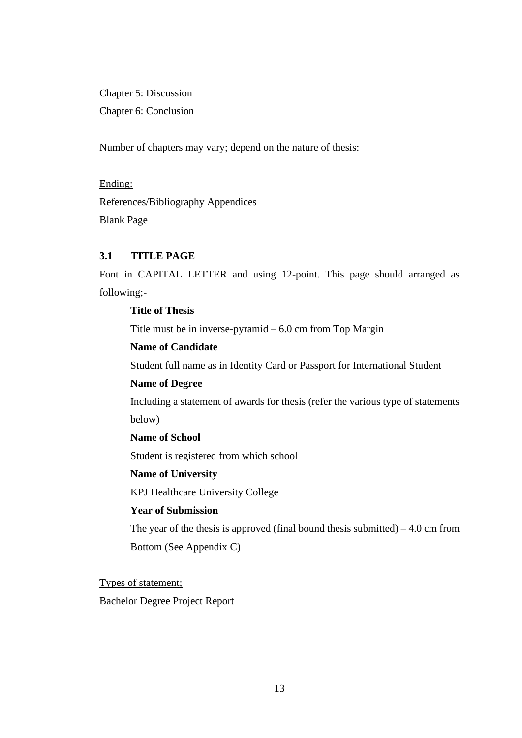Chapter 5: Discussion Chapter 6: Conclusion

Number of chapters may vary; depend on the nature of thesis:

Ending: References/Bibliography Appendices Blank Page

# <span id="page-12-0"></span>**3.1 TITLE PAGE**

Font in CAPITAL LETTER and using 12-point. This page should arranged as following;-

# **Title of Thesis**

Title must be in inverse-pyramid  $-6.0$  cm from Top Margin

# **Name of Candidate**

Student full name as in Identity Card or Passport for International Student

### **Name of Degree**

Including a statement of awards for thesis (refer the various type of statements below)

**Name of School**

Student is registered from which school

### **Name of University**

KPJ Healthcare University College

# **Year of Submission**

The year of the thesis is approved (final bound thesis submitted)  $-4.0$  cm from Bottom (See Appendix C)

Types of statement;

Bachelor Degree Project Report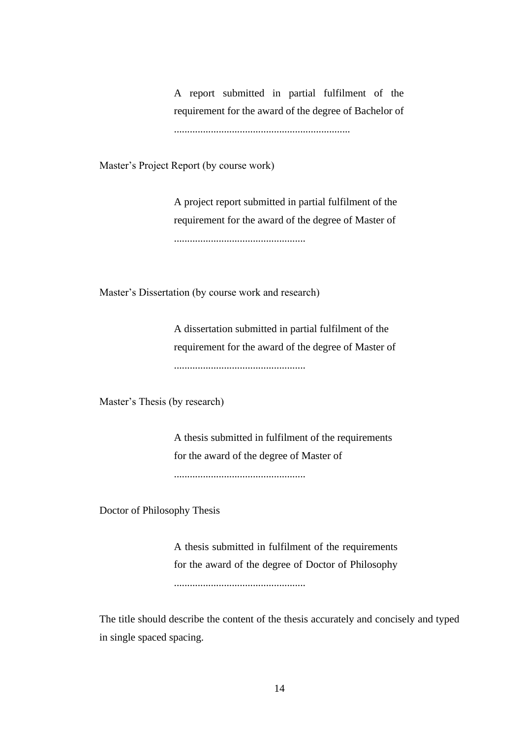A report submitted in partial fulfilment of the requirement for the award of the degree of Bachelor of ...................................................................

Master's Project Report (by course work)

A project report submitted in partial fulfilment of the requirement for the award of the degree of Master of ..................................................

Master's Dissertation (by course work and research)

A dissertation submitted in partial fulfilment of the requirement for the award of the degree of Master of ..................................................

Master's Thesis (by research)

A thesis submitted in fulfilment of the requirements for the award of the degree of Master of ..................................................

Doctor of Philosophy Thesis

A thesis submitted in fulfilment of the requirements for the award of the degree of Doctor of Philosophy ..................................................

The title should describe the content of the thesis accurately and concisely and typed in single spaced spacing.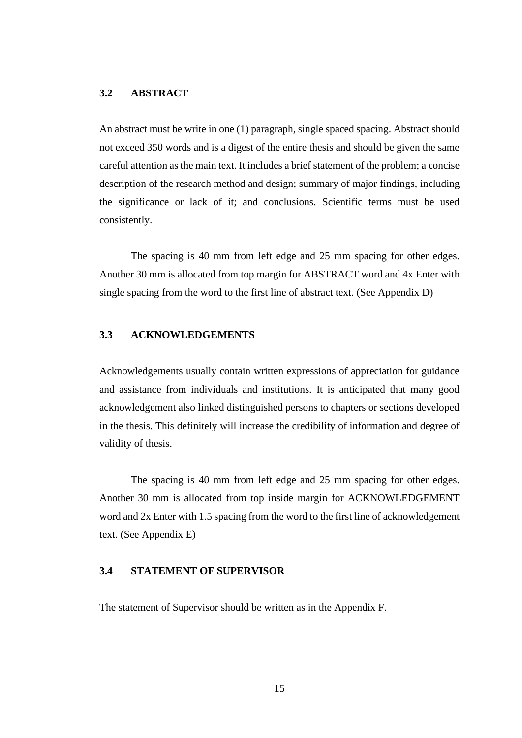#### <span id="page-14-0"></span>**3.2 ABSTRACT**

An abstract must be write in one (1) paragraph, single spaced spacing. Abstract should not exceed 350 words and is a digest of the entire thesis and should be given the same careful attention as the main text. It includes a brief statement of the problem; a concise description of the research method and design; summary of major findings, including the significance or lack of it; and conclusions. Scientific terms must be used consistently.

The spacing is 40 mm from left edge and 25 mm spacing for other edges. Another 30 mm is allocated from top margin for ABSTRACT word and 4x Enter with single spacing from the word to the first line of abstract text. (See Appendix D)

## <span id="page-14-1"></span>**3.3 ACKNOWLEDGEMENTS**

Acknowledgements usually contain written expressions of appreciation for guidance and assistance from individuals and institutions. It is anticipated that many good acknowledgement also linked distinguished persons to chapters or sections developed in the thesis. This definitely will increase the credibility of information and degree of validity of thesis.

The spacing is 40 mm from left edge and 25 mm spacing for other edges. Another 30 mm is allocated from top inside margin for ACKNOWLEDGEMENT word and 2x Enter with 1.5 spacing from the word to the first line of acknowledgement text. (See Appendix E)

#### <span id="page-14-2"></span>**3.4 STATEMENT OF SUPERVISOR**

The statement of Supervisor should be written as in the Appendix F.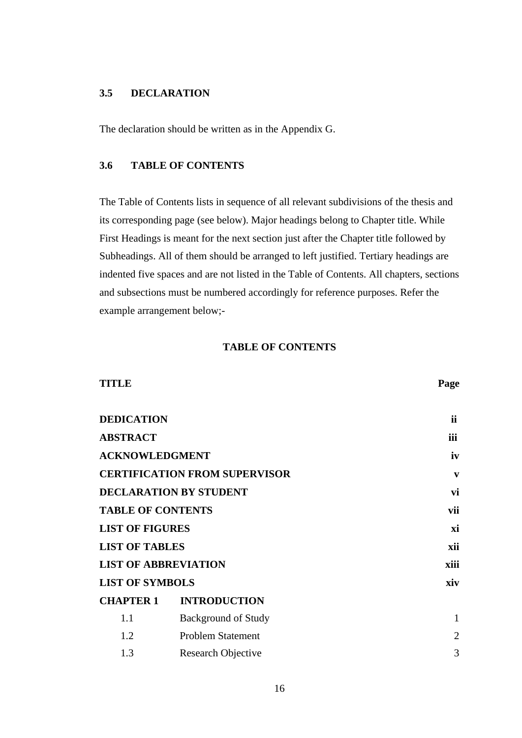# <span id="page-15-0"></span>**3.5 DECLARATION**

The declaration should be written as in the Appendix G.

#### <span id="page-15-1"></span>**3.6 TABLE OF CONTENTS**

The Table of Contents lists in sequence of all relevant subdivisions of the thesis and its corresponding page (see below). Major headings belong to Chapter title. While First Headings is meant for the next section just after the Chapter title followed by Subheadings. All of them should be arranged to left justified. Tertiary headings are indented five spaces and are not listed in the Table of Contents. All chapters, sections and subsections must be numbered accordingly for reference purposes. Refer the example arrangement below;-

## **TABLE OF CONTENTS**

| <b>TITLE</b>                |                                      | Page           |
|-----------------------------|--------------------------------------|----------------|
| <b>DEDICATION</b>           |                                      | <i>ii</i>      |
| <b>ABSTRACT</b>             |                                      | iii            |
| <b>ACKNOWLEDGMENT</b>       |                                      | iv             |
|                             | <b>CERTIFICATION FROM SUPERVISOR</b> | $\mathbf{v}$   |
|                             | <b>DECLARATION BY STUDENT</b>        | vi             |
| <b>TABLE OF CONTENTS</b>    |                                      | vii            |
| <b>LIST OF FIGURES</b>      |                                      | xi             |
| <b>LIST OF TABLES</b>       |                                      | xii            |
| <b>LIST OF ABBREVIATION</b> |                                      | xiii           |
| <b>LIST OF SYMBOLS</b>      |                                      | xiv            |
| <b>CHAPTER 1</b>            | <b>INTRODUCTION</b>                  |                |
| 1.1                         | <b>Background of Study</b>           | $\mathbf{1}$   |
| 1.2                         | <b>Problem Statement</b>             | $\overline{2}$ |
| 1.3                         | Research Objective                   | 3              |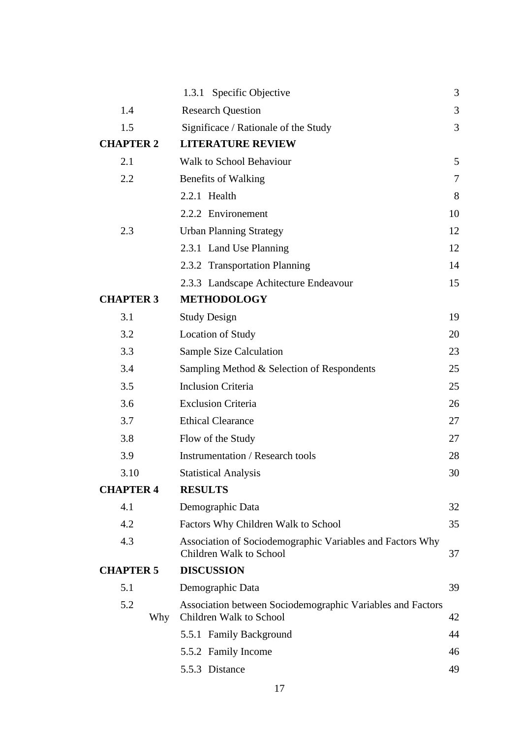|                  |     | 1.3.1 Specific Objective                                                              | 3  |
|------------------|-----|---------------------------------------------------------------------------------------|----|
| 1.4              |     | <b>Research Question</b>                                                              | 3  |
| 1.5              |     | Significace / Rationale of the Study                                                  | 3  |
| <b>CHAPTER 2</b> |     | <b>LITERATURE REVIEW</b>                                                              |    |
| 2.1              |     | <b>Walk to School Behaviour</b>                                                       | 5  |
| 2.2              |     | <b>Benefits of Walking</b>                                                            | 7  |
|                  |     | 2.2.1 Health                                                                          | 8  |
|                  |     | 2.2.2 Environement                                                                    | 10 |
| 2.3              |     | <b>Urban Planning Strategy</b>                                                        | 12 |
|                  |     | 2.3.1 Land Use Planning                                                               | 12 |
|                  |     | 2.3.2 Transportation Planning                                                         | 14 |
|                  |     | 2.3.3 Landscape Achitecture Endeavour                                                 | 15 |
| <b>CHAPTER 3</b> |     | <b>METHODOLOGY</b>                                                                    |    |
| 3.1              |     | <b>Study Design</b>                                                                   | 19 |
| 3.2              |     | <b>Location of Study</b>                                                              | 20 |
| 3.3              |     | <b>Sample Size Calculation</b>                                                        | 23 |
| 3.4              |     | Sampling Method & Selection of Respondents                                            | 25 |
| 3.5              |     | <b>Inclusion Criteria</b>                                                             | 25 |
| 3.6              |     | <b>Exclusion Criteria</b>                                                             | 26 |
| 3.7              |     | <b>Ethical Clearance</b>                                                              | 27 |
| 3.8              |     | Flow of the Study                                                                     | 27 |
| 3.9              |     | <b>Instrumentation / Research tools</b>                                               | 28 |
| 3.10             |     | <b>Statistical Analysis</b>                                                           | 30 |
| <b>CHAPTER 4</b> |     | <b>RESULTS</b>                                                                        |    |
| 4.1              |     | Demographic Data                                                                      | 32 |
| 4.2              |     | Factors Why Children Walk to School                                                   | 35 |
| 4.3              |     | Association of Sociodemographic Variables and Factors Why<br>Children Walk to School  | 37 |
| <b>CHAPTER 5</b> |     | <b>DISCUSSION</b>                                                                     |    |
| 5.1              |     | Demographic Data                                                                      | 39 |
| 5.2              | Why | Association between Sociodemographic Variables and Factors<br>Children Walk to School | 42 |
|                  |     | 5.5.1 Family Background                                                               | 44 |
|                  |     | 5.5.2 Family Income                                                                   | 46 |
|                  |     | 5.5.3 Distance                                                                        | 49 |
|                  |     |                                                                                       |    |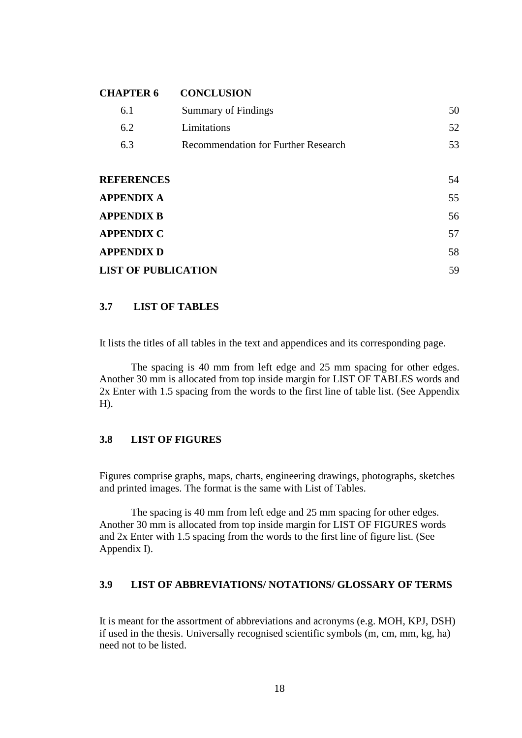## **CHAPTER 6 CONCLUSION**

| 6.1                        | Summary of Findings                        | 50 |
|----------------------------|--------------------------------------------|----|
| 6.2                        | Limitations                                | 52 |
| 6.3                        | <b>Recommendation for Further Research</b> | 53 |
|                            |                                            |    |
| <b>REFERENCES</b>          |                                            | 54 |
| <b>APPENDIX A</b>          |                                            | 55 |
| <b>APPENDIX B</b>          |                                            | 56 |
| <b>APPENDIX C</b>          |                                            | 57 |
| <b>APPENDIX D</b>          |                                            | 58 |
| <b>LIST OF PUBLICATION</b> |                                            | 59 |

### <span id="page-17-0"></span>**3.7 LIST OF TABLES**

It lists the titles of all tables in the text and appendices and its corresponding page.

The spacing is 40 mm from left edge and 25 mm spacing for other edges. Another 30 mm is allocated from top inside margin for LIST OF TABLES words and 2x Enter with 1.5 spacing from the words to the first line of table list. (See Appendix H).

# <span id="page-17-1"></span>**3.8 LIST OF FIGURES**

Figures comprise graphs, maps, charts, engineering drawings, photographs, sketches and printed images. The format is the same with List of Tables.

The spacing is 40 mm from left edge and 25 mm spacing for other edges. Another 30 mm is allocated from top inside margin for LIST OF FIGURES words and 2x Enter with 1.5 spacing from the words to the first line of figure list. (See Appendix I).

# <span id="page-17-2"></span>**3.9 LIST OF ABBREVIATIONS/ NOTATIONS/ GLOSSARY OF TERMS**

It is meant for the assortment of abbreviations and acronyms (e.g. MOH, KPJ, DSH) if used in the thesis. Universally recognised scientific symbols (m, cm, mm, kg, ha) need not to be listed.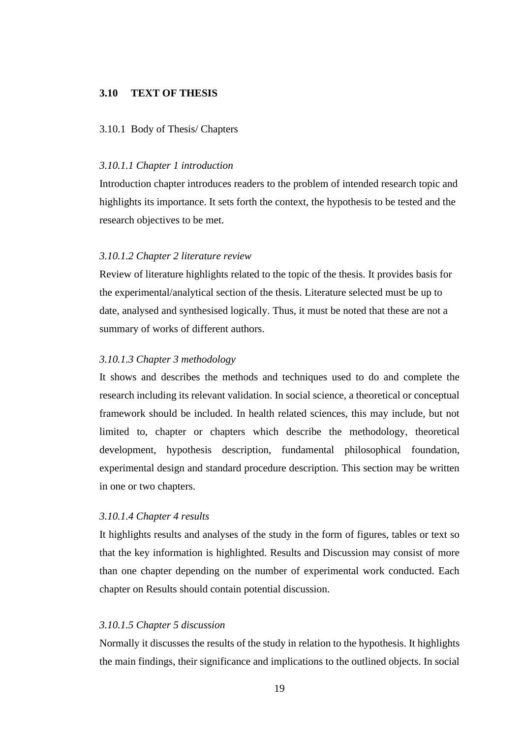#### <span id="page-18-0"></span>**3.10 TEXT OF THESIS**

#### <span id="page-18-1"></span>3.10.1 Body of Thesis/ Chapters

#### *3.10.1.1 Chapter 1 introduction*

Introduction chapter introduces readers to the problem of intended research topic and highlights its importance. It sets forth the context, the hypothesis to be tested and the research objectives to be met.

#### *3.10.1.2 Chapter 2 literature review*

Review of literature highlights related to the topic of the thesis. It provides basis for the experimental/analytical section of the thesis. Literature selected must be up to date, analysed and synthesised logically. Thus, it must be noted that these are not a summary of works of different authors.

#### *3.10.1.3 Chapter 3 methodology*

It shows and describes the methods and techniques used to do and complete the research including its relevant validation. In social science, a theoretical or conceptual framework should be included. In health related sciences, this may include, but not limited to, chapter or chapters which describe the methodology, theoretical development, hypothesis description, fundamental philosophical foundation, experimental design and standard procedure description. This section may be written in one or two chapters.

#### *3.10.1.4 Chapter 4 results*

It highlights results and analyses of the study in the form of figures, tables or text so that the key information is highlighted. Results and Discussion may consist of more than one chapter depending on the number of experimental work conducted. Each chapter on Results should contain potential discussion.

#### *3.10.1.5 Chapter 5 discussion*

Normally it discusses the results of the study in relation to the hypothesis. It highlights the main findings, their significance and implications to the outlined objects. In social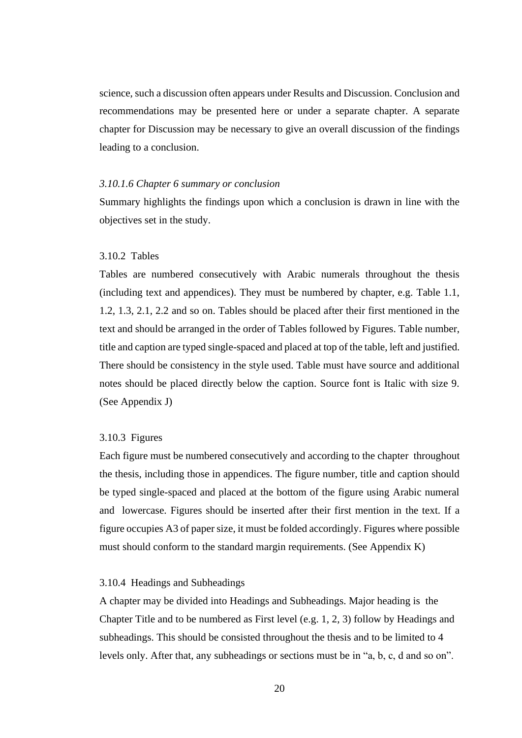science, such a discussion often appears under Results and Discussion. Conclusion and recommendations may be presented here or under a separate chapter. A separate chapter for Discussion may be necessary to give an overall discussion of the findings leading to a conclusion.

#### *3.10.1.6 Chapter 6 summary or conclusion*

Summary highlights the findings upon which a conclusion is drawn in line with the objectives set in the study.

#### <span id="page-19-0"></span>3.10.2 Tables

Tables are numbered consecutively with Arabic numerals throughout the thesis (including text and appendices). They must be numbered by chapter, e.g. Table 1.1, 1.2, 1.3, 2.1, 2.2 and so on. Tables should be placed after their first mentioned in the text and should be arranged in the order of Tables followed by Figures. Table number, title and caption are typed single-spaced and placed at top of the table, left and justified. There should be consistency in the style used. Table must have source and additional notes should be placed directly below the caption. Source font is Italic with size 9. (See Appendix J)

#### <span id="page-19-1"></span>3.10.3 Figures

Each figure must be numbered consecutively and according to the chapter throughout the thesis, including those in appendices. The figure number, title and caption should be typed single-spaced and placed at the bottom of the figure using Arabic numeral and lowercase. Figures should be inserted after their first mention in the text. If a figure occupies A3 of paper size, it must be folded accordingly. Figures where possible must should conform to the standard margin requirements. (See Appendix K)

#### <span id="page-19-2"></span>3.10.4 Headings and Subheadings

A chapter may be divided into Headings and Subheadings. Major heading is the Chapter Title and to be numbered as First level (e.g. 1, 2, 3) follow by Headings and subheadings. This should be consisted throughout the thesis and to be limited to 4 levels only. After that, any subheadings or sections must be in "a, b, c, d and so on".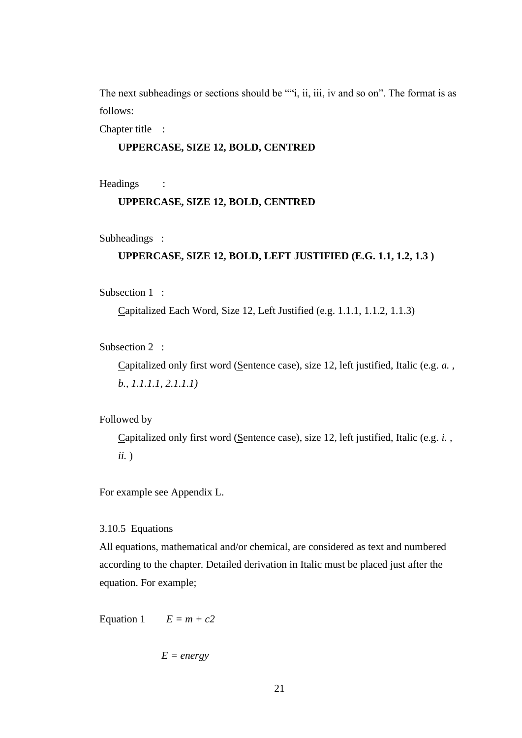The next subheadings or sections should be ""i, ii, iii, iv and so on". The format is as follows:

Chapter title :

#### **UPPERCASE, SIZE 12, BOLD, CENTRED**

Headings :

#### **UPPERCASE, SIZE 12, BOLD, CENTRED**

Subheadings :

#### **UPPERCASE, SIZE 12, BOLD, LEFT JUSTIFIED (E.G. 1.1, 1.2, 1.3 )**

Subsection 1 :

Capitalized Each Word, Size 12, Left Justified (e.g. 1.1.1, 1.1.2, 1.1.3)

Subsection 2 :

Capitalized only first word (Sentence case), size 12, left justified, Italic (e.g. *a. , b., 1.1.1.1, 2.1.1.1)*

Followed by

Capitalized only first word (Sentence case), size 12, left justified, Italic (e.g. *i. , ii.* )

For example see Appendix L.

<span id="page-20-0"></span>3.10.5 Equations

All equations, mathematical and/or chemical, are considered as text and numbered according to the chapter. Detailed derivation in Italic must be placed just after the equation. For example;

Equation 1  $E = m + c2$ 

*E = energy*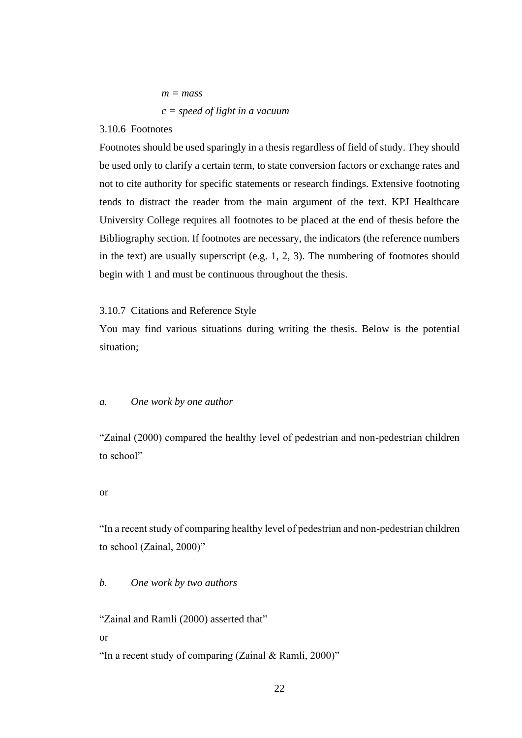$$
m =
$$
 mass  
 $c =$  speed of light in a vacuum

#### <span id="page-21-0"></span>3.10.6 Footnotes

Footnotes should be used sparingly in a thesis regardless of field of study. They should be used only to clarify a certain term, to state conversion factors or exchange rates and not to cite authority for specific statements or research findings. Extensive footnoting tends to distract the reader from the main argument of the text. KPJ Healthcare University College requires all footnotes to be placed at the end of thesis before the Bibliography section. If footnotes are necessary, the indicators (the reference numbers in the text) are usually superscript (e.g. 1, 2, 3). The numbering of footnotes should begin with 1 and must be continuous throughout the thesis.

#### <span id="page-21-1"></span>3.10.7 Citations and Reference Style

You may find various situations during writing the thesis. Below is the potential situation;

#### *a. One work by one author*

"Zainal (2000) compared the healthy level of pedestrian and non-pedestrian children to school"

#### or

"In a recent study of comparing healthy level of pedestrian and non-pedestrian children to school (Zainal, 2000)"

#### *b. One work by two authors*

"Zainal and Ramli (2000) asserted that" or

"In a recent study of comparing (Zainal & Ramli, 2000)"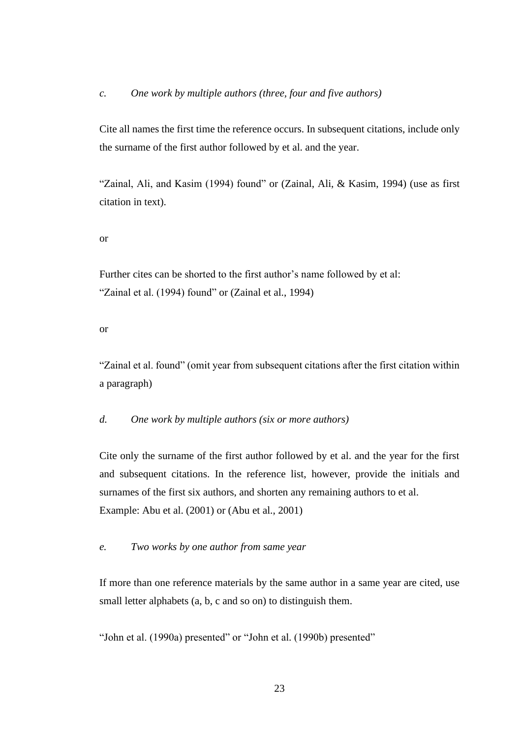Cite all names the first time the reference occurs. In subsequent citations, include only the surname of the first author followed by et al. and the year.

"Zainal, Ali, and Kasim (1994) found" or (Zainal, Ali, & Kasim, 1994) (use as first citation in text).

#### or

Further cites can be shorted to the first author's name followed by et al: "Zainal et al. (1994) found" or (Zainal et al., 1994)

#### or

"Zainal et al. found" (omit year from subsequent citations after the first citation within a paragraph)

## *d. One work by multiple authors (six or more authors)*

Cite only the surname of the first author followed by et al. and the year for the first and subsequent citations. In the reference list, however, provide the initials and surnames of the first six authors, and shorten any remaining authors to et al. Example: Abu et al. (2001) or (Abu et al., 2001)

#### *e. Two works by one author from same year*

If more than one reference materials by the same author in a same year are cited, use small letter alphabets (a, b, c and so on) to distinguish them.

"John et al. (1990a) presented" or "John et al. (1990b) presented"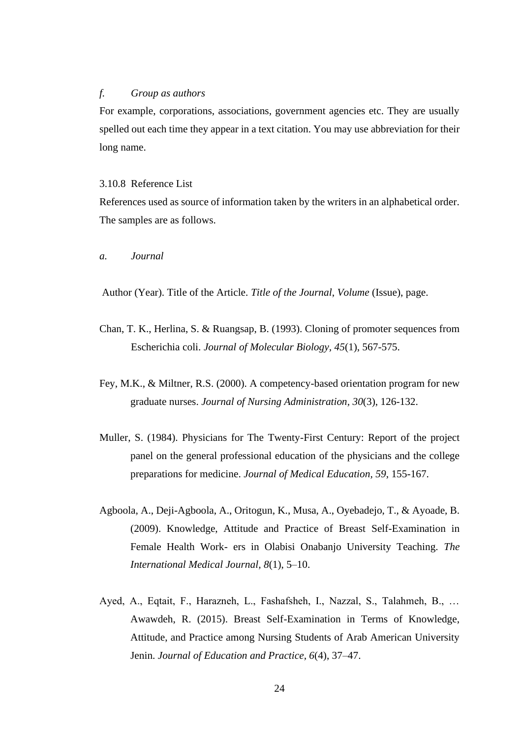#### *f. Group as authors*

For example, corporations, associations, government agencies etc. They are usually spelled out each time they appear in a text citation. You may use abbreviation for their long name.

#### <span id="page-23-0"></span>3.10.8 Reference List

References used as source of information taken by the writers in an alphabetical order. The samples are as follows.

*a. Journal*

Author (Year). Title of the Article. *Title of the Journal*, *Volume* (Issue), page.

- Chan, T. K., Herlina, S. & Ruangsap, B. (1993). Cloning of promoter sequences from Escherichia coli. *Journal of Molecular Biology, 45*(1), 567-575.
- Fey, M.K., & Miltner, R.S. (2000). A competency-based orientation program for new graduate nurses. *Journal of Nursing Administration, 30*(3), 126-132.
- Muller, S. (1984). Physicians for The Twenty-First Century: Report of the project panel on the general professional education of the physicians and the college preparations for medicine. *Journal of Medical Education, 59*, 155-167.
- Agboola, A., Deji-Agboola, A., Oritogun, K., Musa, A., Oyebadejo, T., & Ayoade, B. (2009). Knowledge, Attitude and Practice of Breast Self-Examination in Female Health Work- ers in Olabisi Onabanjo University Teaching. *The International Medical Journal, 8*(1), 5–10.
- Ayed, A., Eqtait, F., Harazneh, L., Fashafsheh, I., Nazzal, S., Talahmeh, B., … Awawdeh, R. (2015). Breast Self-Examination in Terms of Knowledge, Attitude, and Practice among Nursing Students of Arab American University Jenin. *Journal of Education and Practice, 6*(4), 37–47.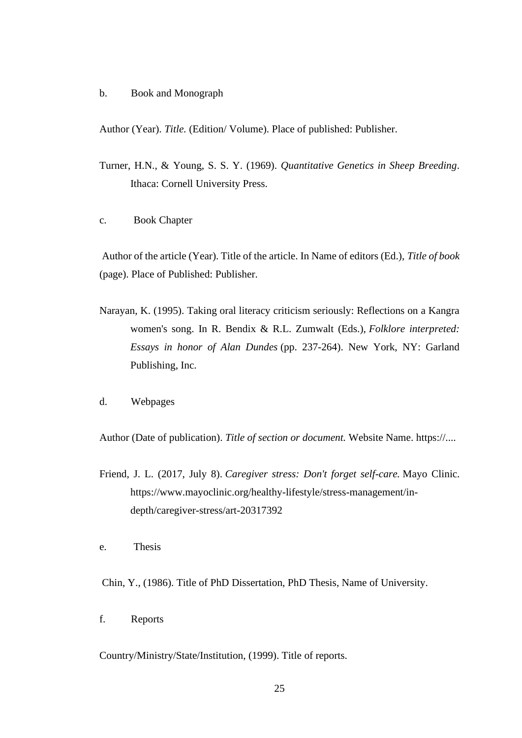b. Book and Monograph

Author (Year). *Title.* (Edition/ Volume). Place of published: Publisher.

- Turner, H.N., & Young, S. S. Y. (1969). *Quantitative Genetics in Sheep Breeding*. Ithaca: Cornell University Press.
- c. Book Chapter

Author of the article (Year). Title of the article. In Name of editors (Ed.), *Title of book* (page). Place of Published: Publisher.

- Narayan, K. (1995). Taking oral literacy criticism seriously: Reflections on a Kangra women's song. In R. Bendix & R.L. Zumwalt (Eds.), *Folklore interpreted: Essays in honor of Alan Dundes* (pp. 237-264). New York, NY: Garland Publishing, Inc.
- d. Webpages

Author (Date of publication). *Title of section or document.* Website Name. https://....

Friend, J. L. (2017, July 8). *Caregiver stress: Don't forget self-care.* Mayo Clinic. https://www.mayoclinic.org/healthy-lifestyle/stress-management/indepth/caregiver-stress/art-20317392

e. Thesis

Chin, Y., (1986). Title of PhD Dissertation, PhD Thesis, Name of University.

f. Reports

Country/Ministry/State/Institution, (1999). Title of reports.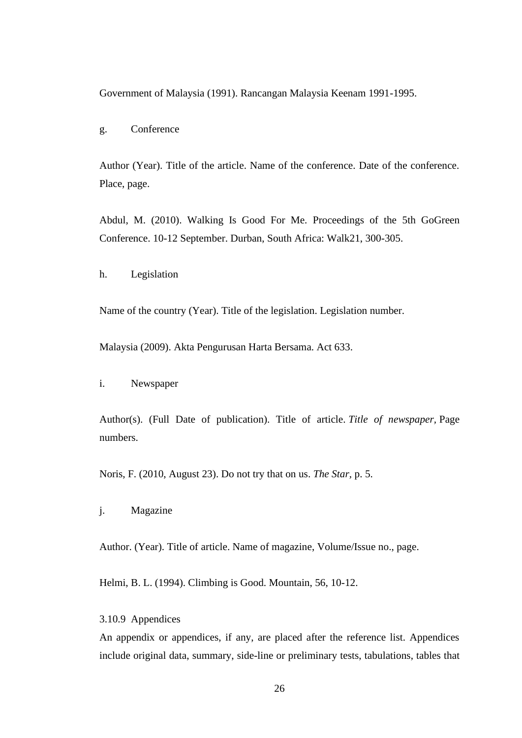Government of Malaysia (1991). Rancangan Malaysia Keenam 1991-1995.

g. Conference

Author (Year). Title of the article. Name of the conference. Date of the conference. Place, page.

Abdul, M. (2010). Walking Is Good For Me. Proceedings of the 5th GoGreen Conference. 10-12 September. Durban, South Africa: Walk21, 300-305.

h. Legislation

Name of the country (Year). Title of the legislation. Legislation number.

Malaysia (2009). Akta Pengurusan Harta Bersama. Act 633.

i. Newspaper

Author(s). (Full Date of publication). Title of article. *Title of newspaper,* Page numbers.

Noris, F. (2010, August 23). Do not try that on us. *The Star,* p. 5.

j. Magazine

Author. (Year). Title of article. Name of magazine, Volume/Issue no., page.

Helmi, B. L. (1994). Climbing is Good. Mountain, 56, 10-12.

<span id="page-25-0"></span>3.10.9 Appendices

An appendix or appendices, if any, are placed after the reference list. Appendices include original data, summary, side-line or preliminary tests, tabulations, tables that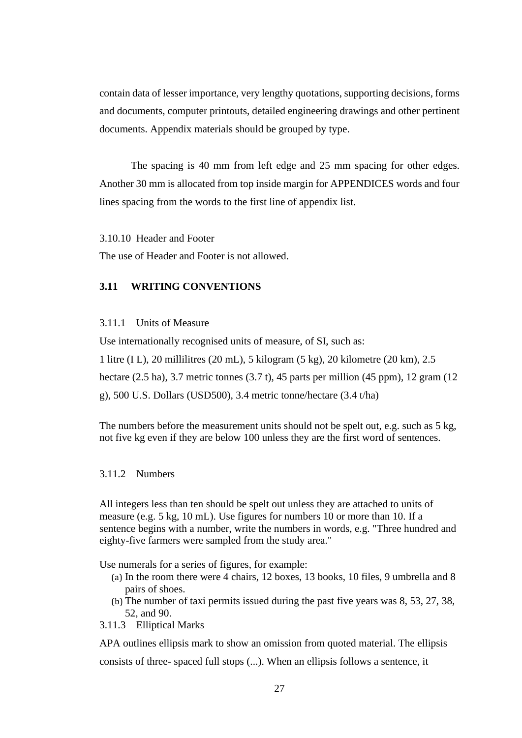contain data of lesser importance, very lengthy quotations, supporting decisions, forms and documents, computer printouts, detailed engineering drawings and other pertinent documents. Appendix materials should be grouped by type.

The spacing is 40 mm from left edge and 25 mm spacing for other edges. Another 30 mm is allocated from top inside margin for APPENDICES words and four lines spacing from the words to the first line of appendix list.

<span id="page-26-0"></span>3.10.10 Header and Footer

The use of Header and Footer is not allowed.

# <span id="page-26-1"></span>**3.11 WRITING CONVENTIONS**

#### <span id="page-26-2"></span>3.11.1 Units of Measure

Use internationally recognised units of measure, of SI, such as:

1 litre (I L), 20 millilitres (20 mL), 5 kilogram (5 kg), 20 kilometre (20 km), 2.5

hectare (2.5 ha), 3.7 metric tonnes (3.7 t), 45 parts per million (45 ppm), 12 gram (12

g), 500 U.S. Dollars (USD500), 3.4 metric tonne/hectare (3.4 t/ha)

The numbers before the measurement units should not be spelt out, e.g. such as 5 kg, not five kg even if they are below 100 unless they are the first word of sentences.

#### <span id="page-26-3"></span>3.11.2 Numbers

All integers less than ten should be spelt out unless they are attached to units of measure (e.g. 5 kg, 10 mL). Use figures for numbers 10 or more than 10. If a sentence begins with a number, write the numbers in words, e.g. "Three hundred and eighty-five farmers were sampled from the study area."

Use numerals for a series of figures, for example:

- (a) In the room there were 4 chairs, 12 boxes, 13 books, 10 files, 9 umbrella and 8 pairs of shoes.
- <span id="page-26-4"></span>(b) The number of taxi permits issued during the past five years was 8, 53, 27, 38, 52, and 90.
- 3.11.3 Elliptical Marks

APA outlines ellipsis mark to show an omission from quoted material. The ellipsis consists of three- spaced full stops (...). When an ellipsis follows a sentence, it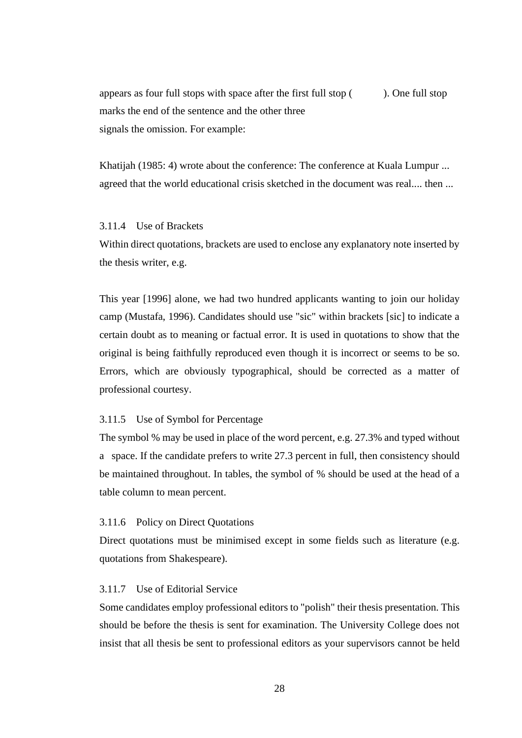appears as four full stops with space after the first full stop ( ). One full stop marks the end of the sentence and the other three signals the omission. For example:

Khatijah (1985: 4) wrote about the conference: The conference at Kuala Lumpur ... agreed that the world educational crisis sketched in the document was real.... then ...

## <span id="page-27-0"></span>3.11.4 Use of Brackets

Within direct quotations, brackets are used to enclose any explanatory note inserted by the thesis writer, e.g.

This year [1996] alone, we had two hundred applicants wanting to join our holiday camp (Mustafa, 1996). Candidates should use "sic" within brackets [sic] to indicate a certain doubt as to meaning or factual error. It is used in quotations to show that the original is being faithfully reproduced even though it is incorrect or seems to be so. Errors, which are obviously typographical, should be corrected as a matter of professional courtesy.

### <span id="page-27-1"></span>3.11.5 Use of Symbol for Percentage

The symbol % may be used in place of the word percent, e.g. 27.3% and typed without a space. If the candidate prefers to write 27.3 percent in full, then consistency should be maintained throughout. In tables, the symbol of % should be used at the head of a table column to mean percent.

#### <span id="page-27-2"></span>3.11.6 Policy on Direct Quotations

Direct quotations must be minimised except in some fields such as literature (e.g. quotations from Shakespeare).

#### <span id="page-27-3"></span>3.11.7 Use of Editorial Service

Some candidates employ professional editors to "polish" their thesis presentation. This should be before the thesis is sent for examination. The University College does not insist that all thesis be sent to professional editors as your supervisors cannot be held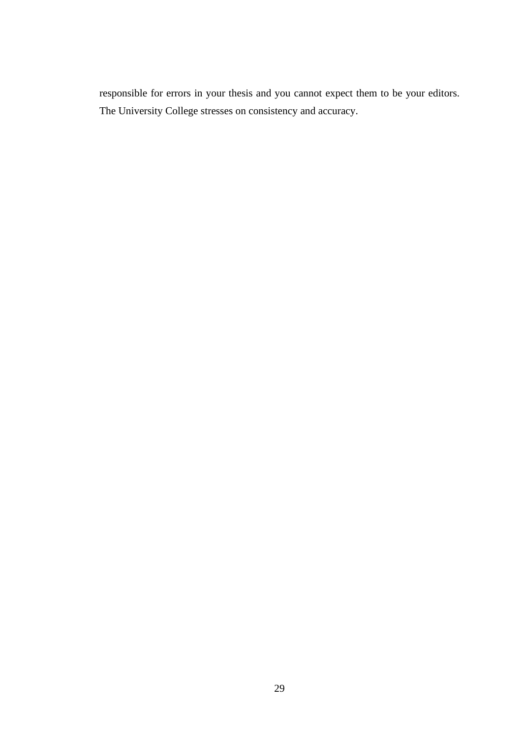responsible for errors in your thesis and you cannot expect them to be your editors. The University College stresses on consistency and accuracy.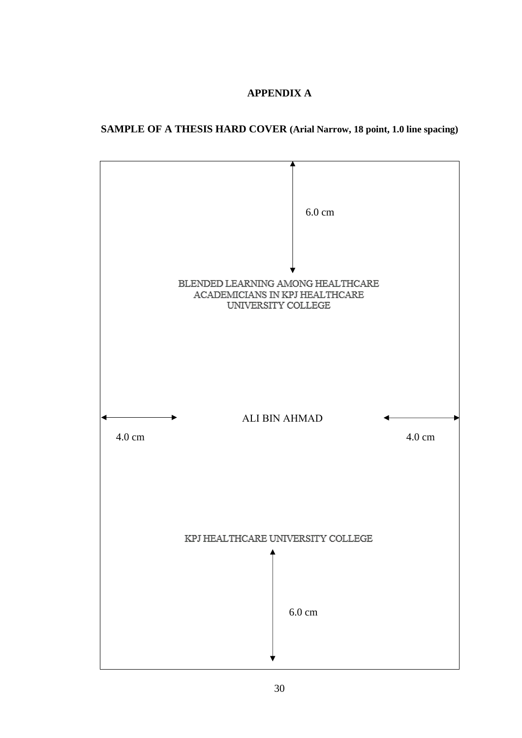# **APPENDIX A**

# <span id="page-29-0"></span>**SAMPLE OF A THESIS HARD COVER (Arial Narrow, 18 point, 1.0 line spacing)**

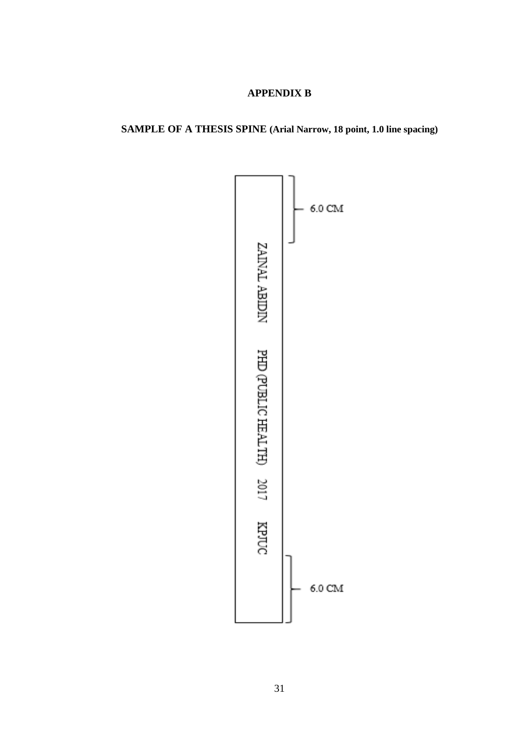# **APPENDIX B**

# <span id="page-30-0"></span>**SAMPLE OF A THESIS SPINE (Arial Narrow, 18 point, 1.0 line spacing)**

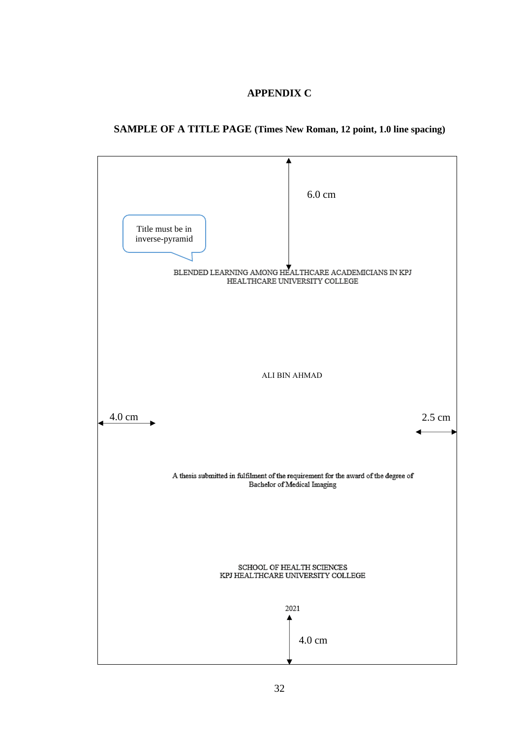# **APPENDIX C**

# <span id="page-31-0"></span>**SAMPLE OF A TITLE PAGE (Times New Roman, 12 point, 1.0 line spacing)**

<span id="page-31-1"></span>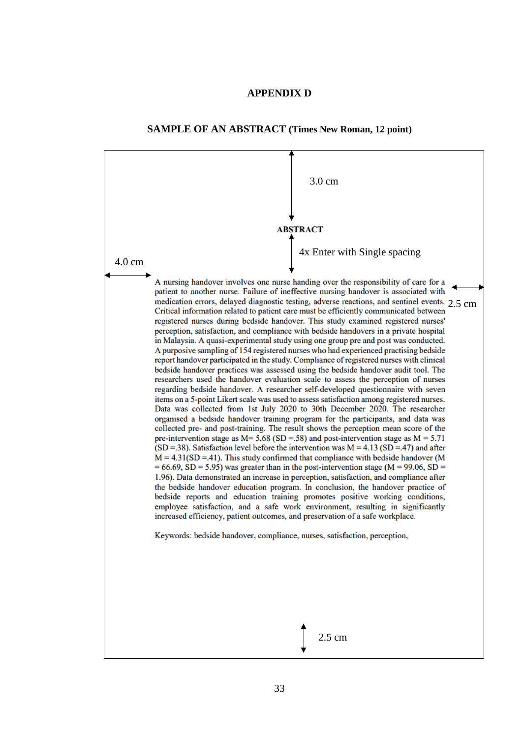# **APPENDIX D**



**SAMPLE OF AN ABSTRACT (Times New Roman, 12 point)**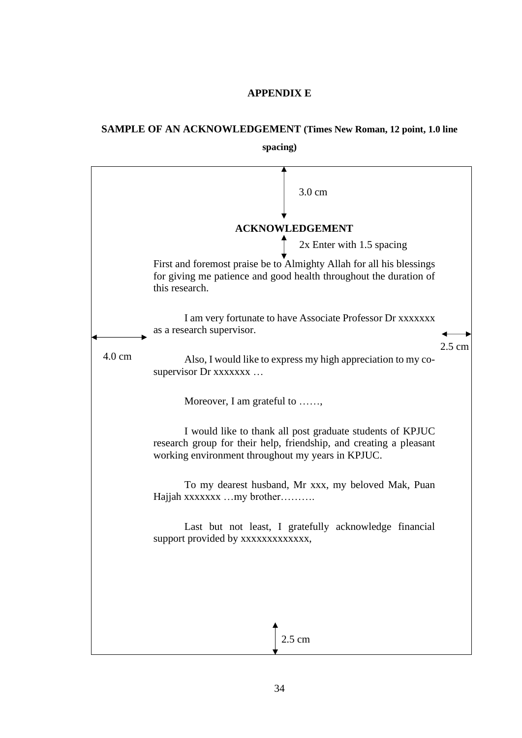# **APPENDIX E**

# <span id="page-33-0"></span>**SAMPLE OF AN ACKNOWLEDGEMENT (Times New Roman, 12 point, 1.0 line**

**spacing)**

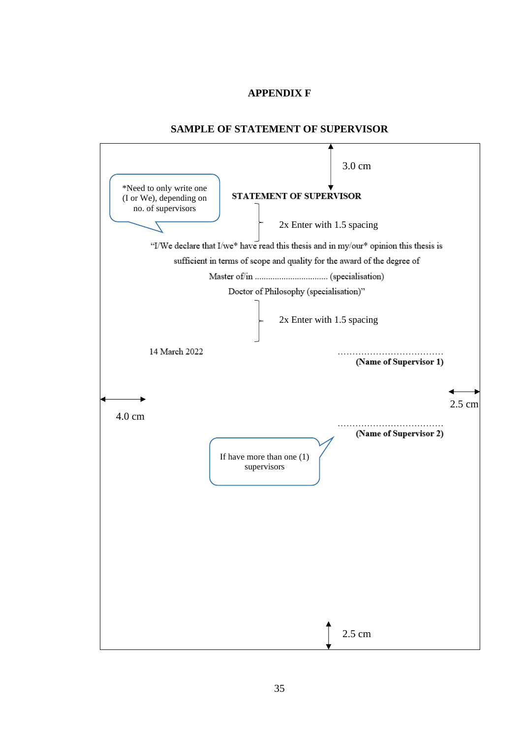# **APPENDIX F**

#### **SAMPLE OF STATEMENT OF SUPERVISOR**

<span id="page-34-0"></span>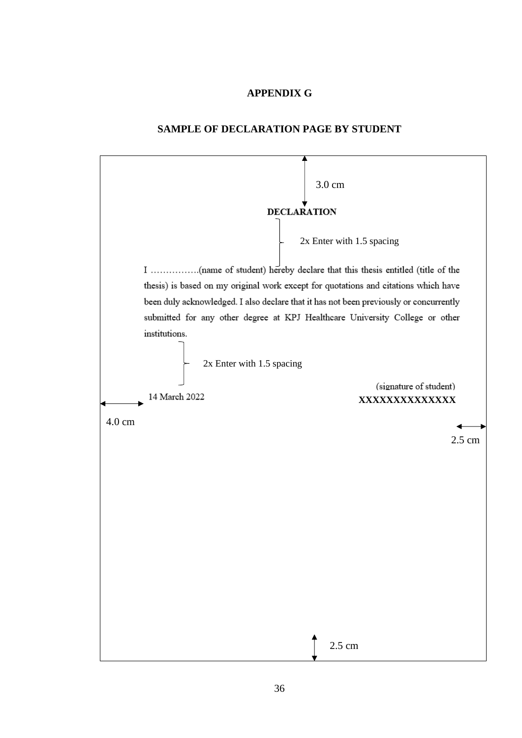# **APPENDIX G**

#### **SAMPLE OF DECLARATION PAGE BY STUDENT**

<span id="page-35-0"></span>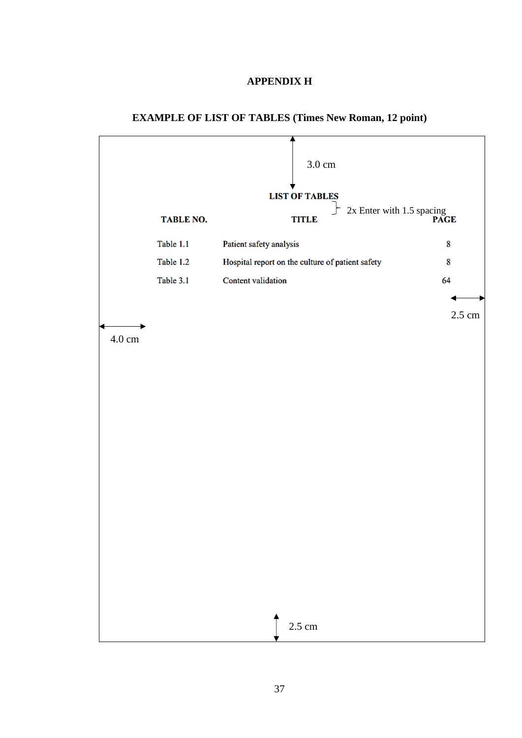# **APPENDIX H**

<span id="page-36-1"></span>

# <span id="page-36-0"></span>**EXAMPLE OF LIST OF TABLES (Times New Roman, 12 point)**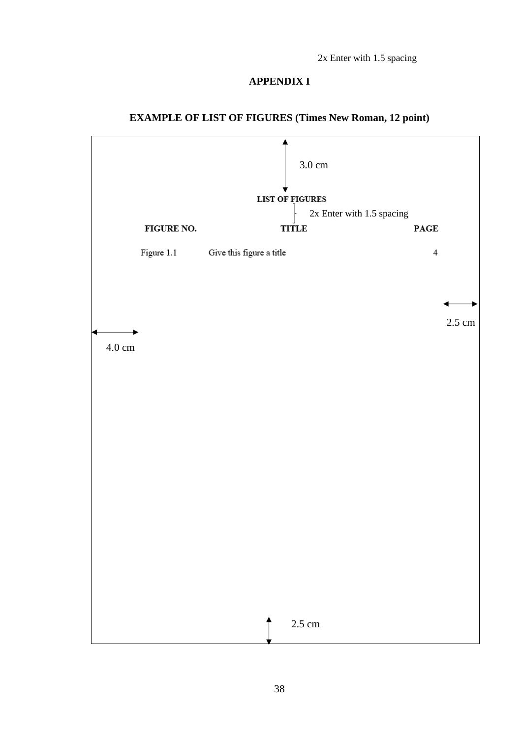2x Enter with 1.5 spacing

## **APPENDIX I**



# **EXAMPLE OF LIST OF FIGURES (Times New Roman, 12 point)**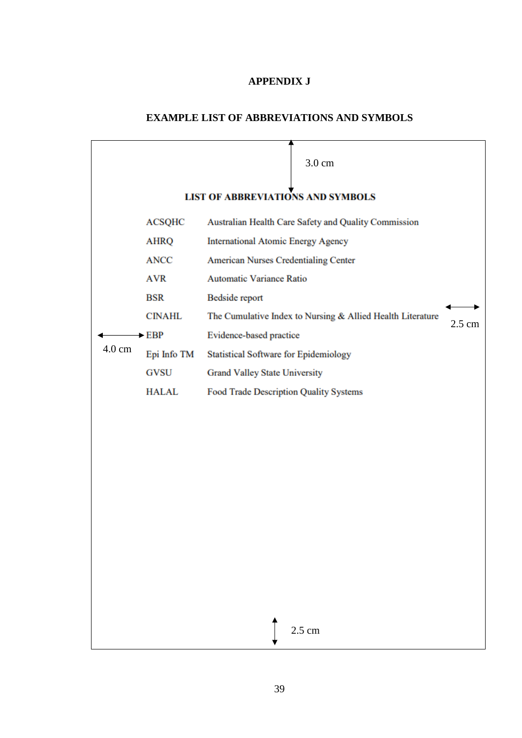# **APPENDIX J**

# **EXAMPLE LIST OF ABBREVIATIONS AND SYMBOLS**

<span id="page-38-0"></span>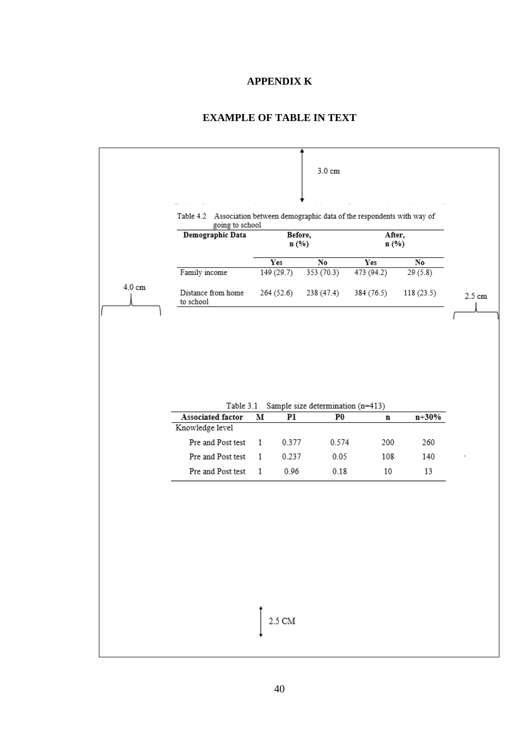#### **APPENDIX K**

# **EXAMPLE OF TABLE IN TEXT**

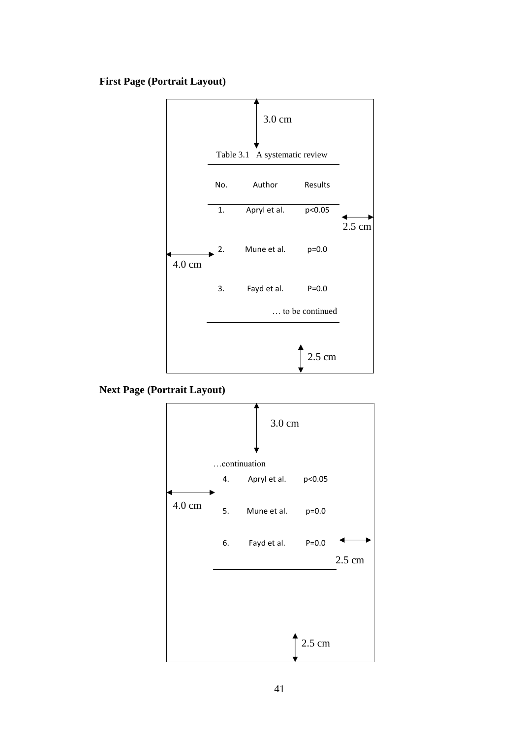# **First Page (Portrait Layout)**



**Next Page (Portrait Layout)**

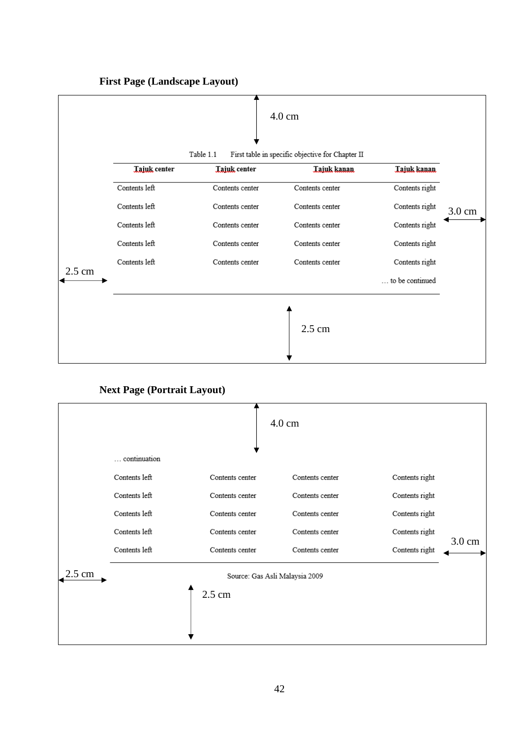

**First Page (Landscape Layout)**

**Next Page (Portrait Layout)**

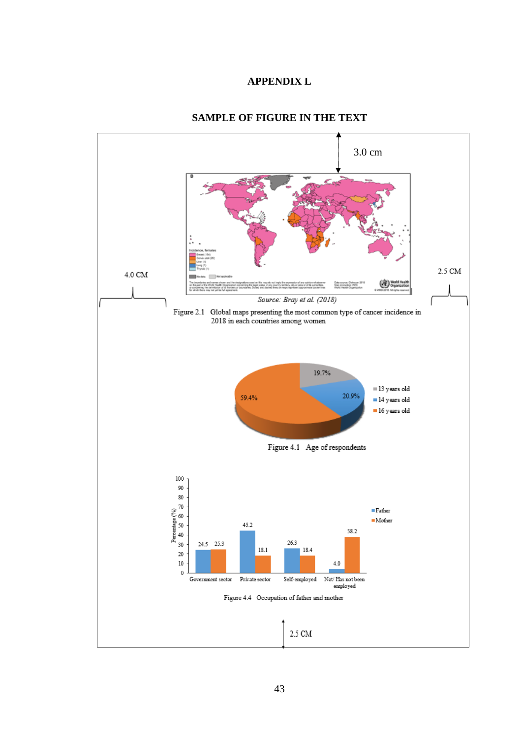# **APPENDIX L**

<span id="page-42-0"></span>

#### **SAMPLE OF FIGURE IN THE TEXT**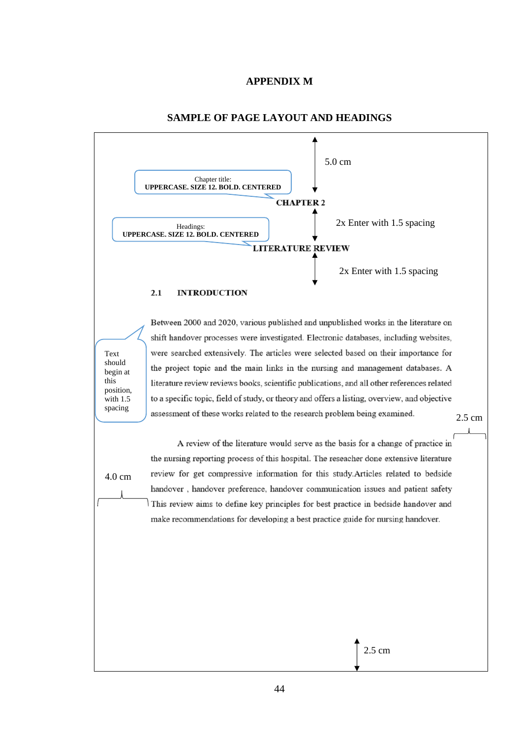#### **APPENDIX M**

<span id="page-43-0"></span>

#### **SAMPLE OF PAGE LAYOUT AND HEADINGS**